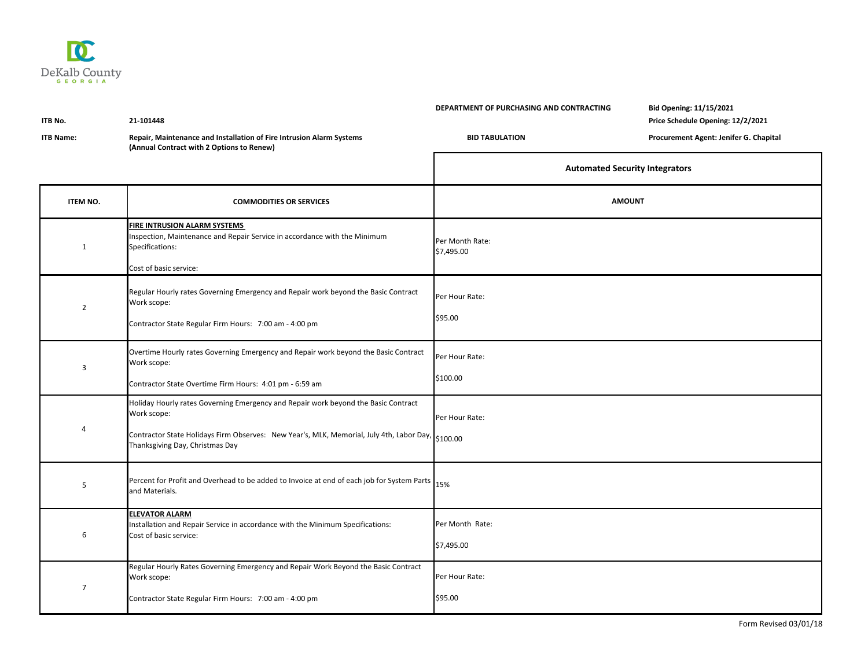

| ITB No.<br><b>ITB Name:</b> | 21-101448<br>Repair, Maintenance and Installation of Fire Intrusion Alarm Systems<br>(Annual Contract with 2 Options to Renew)                                                                                                            | DEPARTMENT OF PURCHASING AND CONTRACTING<br><b>BID TABULATION</b> | Bid Opening: 11/15/2021<br>Price Schedule Opening: 12/2/2021<br>Procurement Agent: Jenifer G. Chapital |
|-----------------------------|-------------------------------------------------------------------------------------------------------------------------------------------------------------------------------------------------------------------------------------------|-------------------------------------------------------------------|--------------------------------------------------------------------------------------------------------|
|                             |                                                                                                                                                                                                                                           | <b>Automated Security Integrators</b>                             |                                                                                                        |
| <b>ITEM NO.</b>             | <b>COMMODITIES OR SERVICES</b>                                                                                                                                                                                                            | <b>AMOUNT</b>                                                     |                                                                                                        |
| $\mathbf{1}$                | FIRE INTRUSION ALARM SYSTEMS<br>Inspection, Maintenance and Repair Service in accordance with the Minimum<br>Specifications:<br>Cost of basic service:                                                                                    | Per Month Rate:<br>\$7,495.00                                     |                                                                                                        |
| $\overline{2}$              | Regular Hourly rates Governing Emergency and Repair work beyond the Basic Contract<br>Work scope:<br>Contractor State Regular Firm Hours: 7:00 am - 4:00 pm                                                                               | Per Hour Rate:<br>\$95.00                                         |                                                                                                        |
| 3                           | Overtime Hourly rates Governing Emergency and Repair work beyond the Basic Contract<br>Work scope:<br>Contractor State Overtime Firm Hours: 4:01 pm - 6:59 am                                                                             | Per Hour Rate:<br>\$100.00                                        |                                                                                                        |
| $\overline{4}$              | Holiday Hourly rates Governing Emergency and Repair work beyond the Basic Contract<br>Work scope:<br>Contractor State Holidays Firm Observes: New Year's, MLK, Memorial, July 4th, Labor Day, \$100.00<br>Thanksgiving Day, Christmas Day | Per Hour Rate:                                                    |                                                                                                        |
| 5                           | Percent for Profit and Overhead to be added to Invoice at end of each job for System Parts 15%<br>and Materials.                                                                                                                          |                                                                   |                                                                                                        |
| 6                           | <b>ELEVATOR ALARM</b><br>Installation and Repair Service in accordance with the Minimum Specifications:<br>Cost of basic service:                                                                                                         | Per Month Rate:<br>\$7,495.00                                     |                                                                                                        |
| $\overline{7}$              | Regular Hourly Rates Governing Emergency and Repair Work Beyond the Basic Contract<br>Work scope:<br>Contractor State Regular Firm Hours: 7:00 am - 4:00 pm                                                                               | Per Hour Rate:<br>\$95.00                                         |                                                                                                        |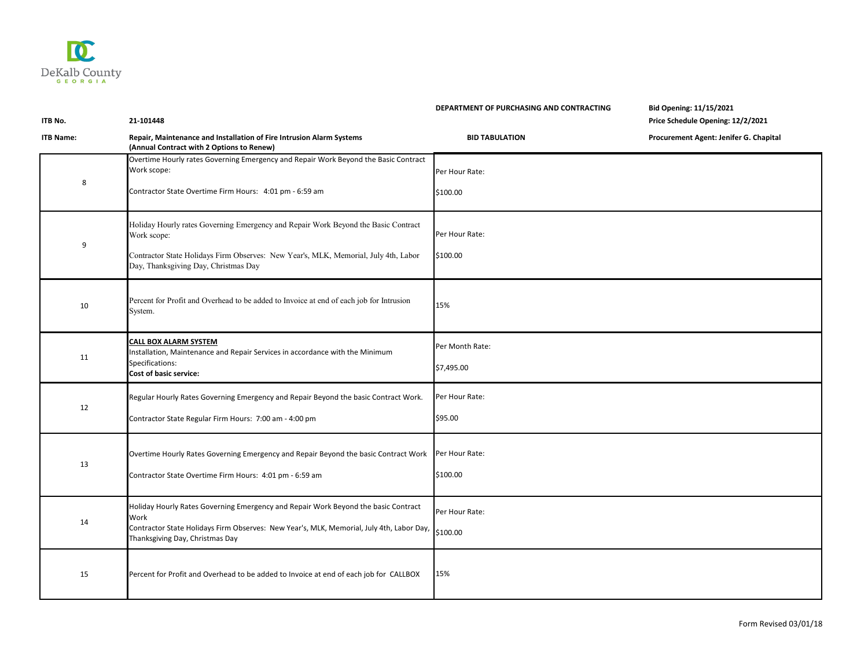

## **DEPARTMENT OF PURCHASING AND CONTRACTING Bid Opening: 11/15/2021**

**ITB No. 21-101448 Price Schedule Opening: 12/2/2021**

| <b>ITB Name:</b> | Repair, Maintenance and Installation of Fire Intrusion Alarm Systems<br>(Annual Contract with 2 Options to Renew)                                                                                                                | <b>BID TABULATION</b>         | Procurement Agent: Jenifer G. Chapital |
|------------------|----------------------------------------------------------------------------------------------------------------------------------------------------------------------------------------------------------------------------------|-------------------------------|----------------------------------------|
| 8                | Overtime Hourly rates Governing Emergency and Repair Work Beyond the Basic Contract<br>Work scope:<br>Contractor State Overtime Firm Hours: 4:01 pm - 6:59 am                                                                    | Per Hour Rate:<br>\$100.00    |                                        |
| 9                | Holiday Hourly rates Governing Emergency and Repair Work Beyond the Basic Contract<br>Work scope:<br>Contractor State Holidays Firm Observes: New Year's, MLK, Memorial, July 4th, Labor<br>Day, Thanksgiving Day, Christmas Day | Per Hour Rate:<br>\$100.00    |                                        |
| 10               | Percent for Profit and Overhead to be added to Invoice at end of each job for Intrusion<br>System.                                                                                                                               | 15%                           |                                        |
| 11               | CALL BOX ALARM SYSTEM<br>Installation, Maintenance and Repair Services in accordance with the Minimum<br>Specifications:<br>Cost of basic service:                                                                               | Per Month Rate:<br>\$7,495.00 |                                        |
| 12               | Regular Hourly Rates Governing Emergency and Repair Beyond the basic Contract Work.<br>Contractor State Regular Firm Hours: 7:00 am - 4:00 pm                                                                                    | Per Hour Rate:<br>\$95.00     |                                        |
| 13               | Overtime Hourly Rates Governing Emergency and Repair Beyond the basic Contract Work<br>Contractor State Overtime Firm Hours: 4:01 pm - 6:59 am                                                                                   | Per Hour Rate:<br>\$100.00    |                                        |
| 14               | Holiday Hourly Rates Governing Emergency and Repair Work Beyond the basic Contract<br>Work<br>Contractor State Holidays Firm Observes: New Year's, MLK, Memorial, July 4th, Labor Day,<br>Thanksgiving Day, Christmas Day        | Per Hour Rate:<br>\$100.00    |                                        |
| 15               | Percent for Profit and Overhead to be added to Invoice at end of each job for CALLBOX                                                                                                                                            | 15%                           |                                        |